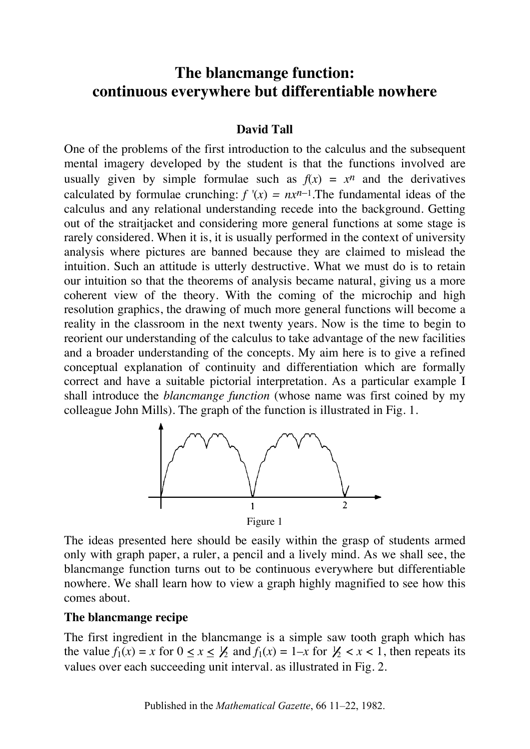# **The blancmange function: continuous everywhere but differentiable nowhere**

## **David Tall**

One of the problems of the first introduction to the calculus and the subsequent mental imagery developed by the student is that the functions involved are usually given by simple formulae such as  $f(x) = x^n$  and the derivatives calculated by formulae crunching:  $f'(x) = nx^{n-1}$ . The fundamental ideas of the calculus and any relational understanding recede into the background. Getting out of the straitjacket and considering more general functions at some stage is rarely considered. When it is, it is usually performed in the context of university analysis where pictures are banned because they are claimed to mislead the intuition. Such an attitude is utterly destructive. What we must do is to retain our intuition so that the theorems of analysis became natural, giving us a more coherent view of the theory. With the coming of the microchip and high resolution graphics, the drawing of much more general functions will become a reality in the classroom in the next twenty years. Now is the time to begin to reorient our understanding of the calculus to take advantage of the new facilities and a broader understanding of the concepts. My aim here is to give a refined conceptual explanation of continuity and differentiation which are formally correct and have a suitable pictorial interpretation. As a particular example I shall introduce the *blancmange function* (whose name was first coined by my colleague John Mills). The graph of the function is illustrated in Fig. 1.



The ideas presented here should be easily within the grasp of students armed only with graph paper, a ruler, a pencil and a lively mind. As we shall see, the blancmange function turns out to be continuous everywhere but differentiable nowhere. We shall learn how to view a graph highly magnified to see how this comes about.

### **The blancmange recipe**

The first ingredient in the blancmange is a simple saw tooth graph which has the value  $f_1(x) = x$  for  $0 \le x \le \frac{1}{2}$  and  $f_1(x) = 1-x$  for  $\frac{1}{2} < x < 1$ , then repeats its values over each succeeding unit interval. as illustrated in Fig. 2.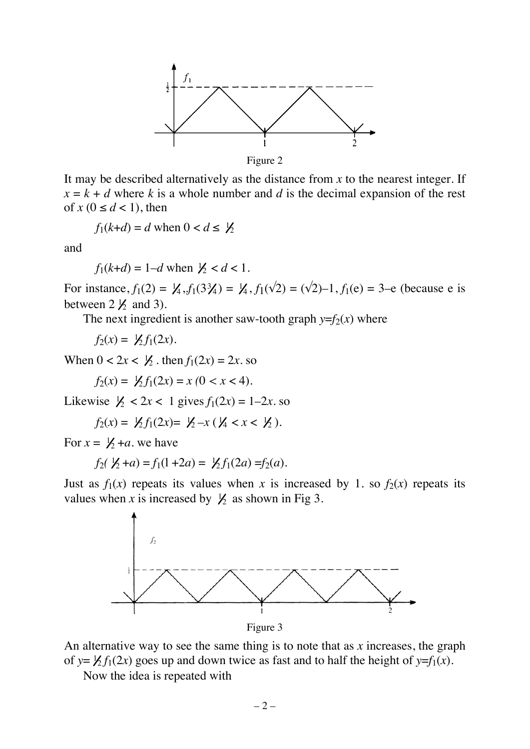

It may be described alternatively as the distance from *x* to the nearest integer. If  $x = k + d$  where *k* is a whole number and *d* is the decimal expansion of the rest of  $x (0 \le d < 1)$ , then

$$
f_1(k+d) = d \text{ when } 0 < d \leq \frac{1}{2}
$$

and

$$
f_1(k+d) = 1-d
$$
 when  $1/2 < d < 1$ .

For instance,  $f_1(2) = \frac{1}{4}$ ,  $f_1(3\frac{3}{4}) = \frac{1}{4}$ ,  $f_1(\sqrt{2}) = (\sqrt{2})-1$ ,  $f_1(e) = 3-e$  (because e is between  $2 \frac{1}{2}$  and 3).

The next ingredient is another saw-tooth graph  $y=f_2(x)$  where

 $f_2(x) = \frac{1}{2} f_1(2x).$ 

When  $0 < 2x < \frac{1}{2}$ . then  $f_1(2x) = 2x$ . so

 $f_2(x) = \frac{1}{2} f_1(2x) = x (0 < x < 4).$ 

Likewise  $\frac{1}{2} < 2x < 1$  gives  $f_1(2x) = 1-2x$ . so

$$
f_2(x) = \frac{1}{2} f_1(2x) = \frac{1}{2} - x (\frac{1}{4} < x < \frac{1}{2}).
$$

For  $x = \frac{1}{2} + a$ . we have

$$
f_2(\frac{1}{2} + a) = f_1(1 + 2a) = \frac{1}{2}f_1(2a) = f_2(a).
$$

Just as  $f_1(x)$  repeats its values when *x* is increased by 1. so  $f_2(x)$  repeats its values when x is increased by  $\frac{1}{2}$  as shown in Fig 3.



Figure 3

An alternative way to see the same thing is to note that as *x* increases, the graph of  $y = \frac{1}{2} f_1(2x)$  goes up and down twice as fast and to half the height of  $y=f_1(x)$ .

Now the idea is repeated with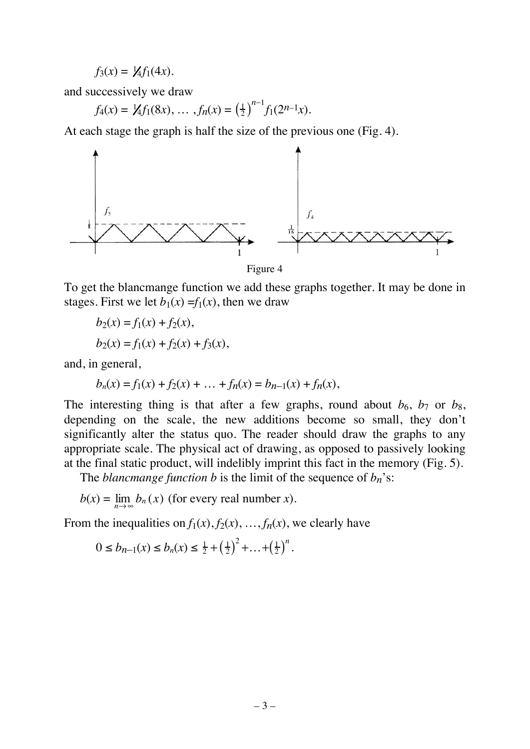$$
f_3(x) = \frac{1}{4} f_1(4x).
$$

and successively we draw

$$
f_4(x) = \mathcal{Y}_4 f_1(8x), \ldots, f_n(x) = \left(\frac{1}{2}\right)^{n-1} f_1(2^{n-1}x).
$$

At each stage the graph is half the size of the previous one (Fig. 4).



Figure 4

To get the blancmange function we add these graphs together. It may be done in stages. First we let  $b_1(x) = f_1(x)$ , then we draw

$$
b_2(x) = f_1(x) + f_2(x),
$$
  
\n
$$
b_2(x) = f_1(x) + f_2(x) + f_3(x),
$$

and, in general,

$$
b_n(x) = f_1(x) + f_2(x) + \dots + f_n(x) = b_{n-1}(x) + f_n(x),
$$

The interesting thing is that after a few graphs, round about  $b_6$ ,  $b_7$  or  $b_8$ , depending on the scale, the new additions become so small, they don't significantly alter the status quo. The reader should draw the graphs to any appropriate scale. The physical act of drawing, as opposed to passively looking at the final static product, will indelibly imprint this fact in the memory (Fig. 5).

The *blancmange function b* is the limit of the sequence of  $b_n$ 's:

$$
b(x) = \lim_{n \to \infty} b_n(x)
$$
 (for every real number x).

From the inequalities on  $f_1(x)$ ,  $f_2(x)$ , ...,  $f_n(x)$ , we clearly have

$$
0 \le b_{n-1}(x) \le b_n(x) \le \frac{1}{2} + \left(\frac{1}{2}\right)^2 + \dots + \left(\frac{1}{2}\right)^n.
$$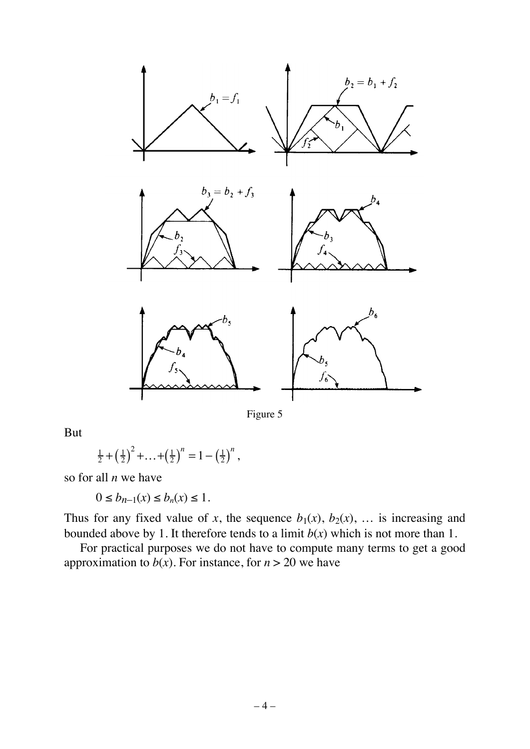

Figure 5

But

$$
\frac{1}{2} + \left(\frac{1}{2}\right)^2 + \ldots + \left(\frac{1}{2}\right)^n = 1 - \left(\frac{1}{2}\right)^n,
$$

so for all *n* we have

 $0 \le b_{n-1}(x) \le b_n(x) \le 1$ .

Thus for any fixed value of *x*, the sequence  $b_1(x)$ ,  $b_2(x)$ , ... is increasing and bounded above by 1. It therefore tends to a limit  $b(x)$  which is not more than 1.

For practical purposes we do not have to compute many terms to get a good approximation to  $b(x)$ . For instance, for  $n > 20$  we have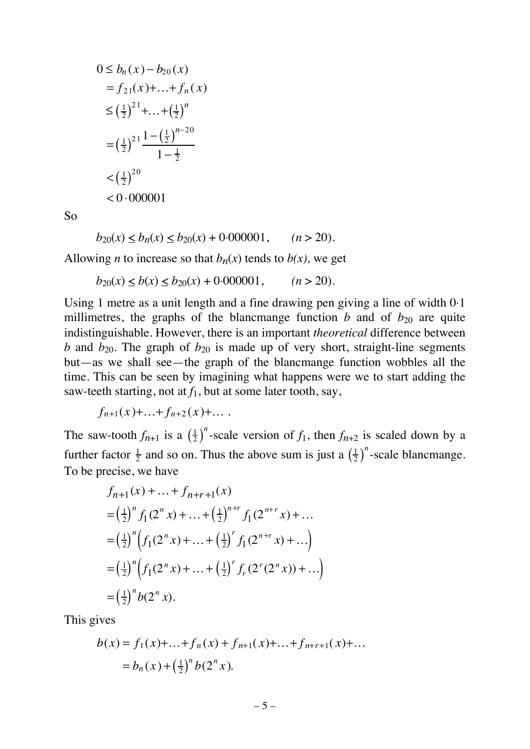$$
0 \le b_n(x) - b_{20}(x)
$$
  
=  $f_{21}(x) + ... + f_n(x)$   
 $\le \left(\frac{1}{2}\right)^{21} + ... + \left(\frac{1}{2}\right)^n$   
 $= \left(\frac{1}{2}\right)^{21} \frac{1 - \left(\frac{1}{2}\right)^{n-20}}{1 - \frac{1}{2}}$   
 $< \left(\frac{1}{2}\right)^{20}$   
 $< 0.000001$ 

So

 $b_{20}(x) \le b_n(x) \le b_{20}(x) + 0.000001, \quad (n > 20).$ 

Allowing *n* to increase so that  $b_n(x)$  tends to  $b(x)$ , we get

 $b_{20}(x) < b(x) < b_{20}(x) + 0.000001,$   $(n > 20)$ .

Using 1 metre as a unit length and a fine drawing pen giving a line of width 0⋅1 millimetres, the graphs of the blancmange function *b* and of  $b_{20}$  are quite indistinguishable. However, there is an important *theoretical* difference between *b* and  $b_{20}$ . The graph of  $b_{20}$  is made up of very short, straight-line segments but—as we shall see—the graph of the blancmange function wobbles all the time. This can be seen by imagining what happens were we to start adding the saw-teeth starting, not at  $f_1$ , but at some later tooth, say,

 $f_{n+1}(x)+...+f_{n+2}(x)+...$ 

The saw-tooth  $f_{n+1}$  is a  $\left(\frac{1}{2}\right)^n$ -scale version of  $f_1$ , then  $f_{n+2}$  is scaled down by a further factor  $\frac{1}{2}$  and so on. Thus the above sum is just a  $\left(\frac{1}{2}\right)^n$ -scale blancmange. To be precise, we have

$$
f_{n+1}(x) + ... + f_{n+r+1}(x)
$$
  
=  $\left(\frac{1}{2}\right)^n f_1(2^n x) + ... + \left(\frac{1}{2}\right)^{n+r} f_1(2^{n+r} x) + ...$   
=  $\left(\frac{1}{2}\right)^n \left(f_1(2^n x) + ... + \left(\frac{1}{2}\right)^r f_1(2^{n+r} x) + ...\right)$   
=  $\left(\frac{1}{2}\right)^n \left(f_1(2^n x) + ... + \left(\frac{1}{2}\right)^r f_r(2^r (2^n x)) + ...\right)$   
=  $\left(\frac{1}{2}\right)^n b(2^n x).$ 

This gives

$$
b(x) = f_1(x) + ... + f_n(x) + f_{n+1}(x) + ... + f_{n+r+1}(x) + ...
$$
  
=  $b_n(x) + \left(\frac{1}{2}\right)^n b(2^n x).$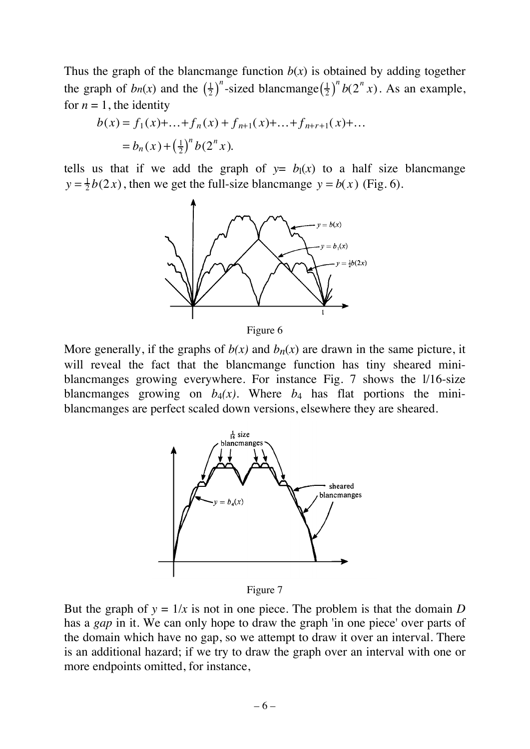Thus the graph of the blancmange function  $b(x)$  is obtained by adding together the graph of  $bn(x)$  and the  $\left(\frac{1}{2}\right)^n$ -sized blancmange $\left(\frac{1}{2}\right)^n b(2^n x)$ . As an example, for  $n = 1$ , the identity

$$
b(x) = f_1(x) + ... + f_n(x) + f_{n+1}(x) + ... + f_{n+r+1}(x) + ...
$$
  
=  $b_n(x) + \left(\frac{1}{2}\right)^n b(2^n x).$ 

tells us that if we add the graph of  $y = b_1(x)$  to a half size blancmange  $y = \frac{1}{2}b(2x)$ , then we get the full-size blancmange  $y = b(x)$  (Fig. 6).



Figure 6

More generally, if the graphs of  $b(x)$  and  $b_n(x)$  are drawn in the same picture, it will reveal the fact that the blancmange function has tiny sheared miniblancmanges growing everywhere. For instance Fig. 7 shows the l/16-size blancmanges growing on  $b_4(x)$ . Where  $b_4$  has flat portions the miniblancmanges are perfect scaled down versions, elsewhere they are sheared.



Figure 7

But the graph of  $y = 1/x$  is not in one piece. The problem is that the domain *D* has a *gap* in it. We can only hope to draw the graph 'in one piece' over parts of the domain which have no gap, so we attempt to draw it over an interval. There is an additional hazard; if we try to draw the graph over an interval with one or more endpoints omitted, for instance,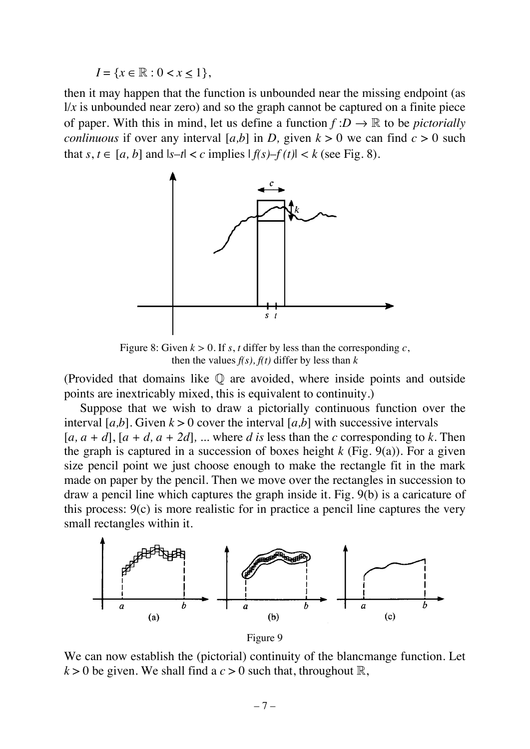$I = \{x \in \mathbb{R} : 0 < x < 1\},\$ 

then it may happen that the function is unbounded near the missing endpoint (as  $1/x$  is unbounded near zero) and so the graph cannot be captured on a finite piece of paper. With this in mind, let us define a function  $f: D \to \mathbb{R}$  to be *pictorially conlinuous* if over any interval [ $a,b$ ] in *D*, given  $k > 0$  we can find  $c > 0$  such that  $s, t \in [a, b]$  and  $|s-t| < c$  implies  $|f(s) - f(t)| < k$  (see Fig. 8).



Figure 8: Given  $k > 0$ . If *s*, *t* differ by less than the corresponding *c*, then the values  $f(s)$ ,  $f(t)$  differ by less than  $k$ 

(Provided that domains like  $\mathbb Q$  are avoided, where inside points and outside points are inextricably mixed, this is equivalent to continuity.)

Suppose that we wish to draw a pictorially continuous function over the interval  $[a,b]$ . Given  $k > 0$  cover the interval  $[a,b]$  with successive intervals  $[a, a + d]$ ,  $[a + d, a + 2d]$ , ... where *d is* less than the *c* corresponding to *k*. Then the graph is captured in a succession of boxes height  $k$  (Fig. 9(a)). For a given size pencil point we just choose enough to make the rectangle fit in the mark made on paper by the pencil. Then we move over the rectangles in succession to draw a pencil line which captures the graph inside it. Fig. 9(b) is a caricature of this process: 9(c) is more realistic for in practice a pencil line captures the very small rectangles within it.



We can now establish the (pictorial) continuity of the blancmange function. Let  $k > 0$  be given. We shall find a  $c > 0$  such that, throughout  $\mathbb{R}$ ,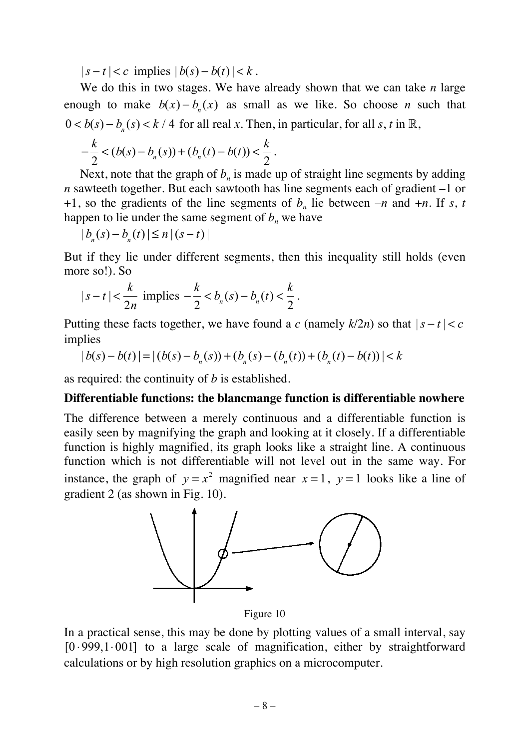$|s-t| < c$  implies  $|b(s)-b(t)| < k$ .

We do this in two stages. We have already shown that we can take *n* large enough to make  $b(x) - b_n(x)$  as small as we like. So choose *n* such that  $0 < b(s) - b_n(s) < k / 4$  for all real *x*. Then, in particular, for all *s*, *t* in R,

$$
-\frac{k}{2} < (b(s) - b_n(s)) + (b_n(t) - b(t)) < \frac{k}{2}.
$$

Next, note that the graph of  $b_n$  is made up of straight line segments by adding *n* sawteeth together. But each sawtooth has line segments each of gradient –1 or +1, so the gradients of the line segments of  $b_n$  lie between  $-n$  and  $+n$ . If *s*, *t* happen to lie under the same segment of  $b_n$  we have

$$
|b_n(s)-b_n(t)| \leq n |(s-t)|
$$

But if they lie under different segments, then this inequality still holds (even more so!). So

$$
|s-t| < \frac{k}{2n} \text{ implies } -\frac{k}{2} < b_n(s) - b_n(t) < \frac{k}{2}.
$$

Putting these facts together, we have found a *c* (namely  $k/2n$ ) so that  $|s-t| < c$ implies

$$
|b(s) - b(t)| = |(b(s) - bn(s)) + (bn(s) - (bn(t)) + (bn(t) - b(t))| < k
$$

as required: the continuity of *b* is established.

#### **Differentiable functions: the blancmange function is differentiable nowhere**

The difference between a merely continuous and a differentiable function is easily seen by magnifying the graph and looking at it closely. If a differentiable function is highly magnified, its graph looks like a straight line. A continuous function which is not differentiable will not level out in the same way. For instance, the graph of  $y = x^2$  magnified near  $x = 1$ ,  $y = 1$  looks like a line of gradient 2 (as shown in Fig. 10).



Figure 10

In a practical sense, this may be done by plotting values of a small interval, say [0 ⋅999,1⋅001] to a large scale of magnification, either by straightforward calculations or by high resolution graphics on a microcomputer.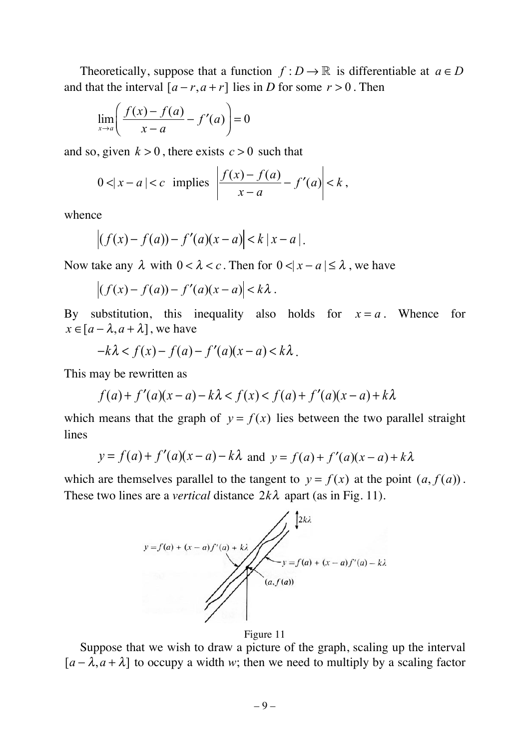Theoretically, suppose that a function  $f: D \to \mathbb{R}$  is differentiable at  $a \in D$ and that the interval  $[a - r, a + r]$  lies in *D* for some  $r > 0$ . Then

$$
\lim_{x \to a} \left( \frac{f(x) - f(a)}{x - a} - f'(a) \right) = 0
$$

and so, given  $k > 0$ , there exists  $c > 0$  such that

$$
0 < |x - a| < c \implies \left| \frac{f(x) - f(a)}{x - a} - f'(a) \right| < k \,,
$$

whence

$$
\left| (f(x) - f(a)) - f'(a)(x - a) \right| < k \left| x - a \right|.
$$

Now take any  $\lambda$  with  $0 < \lambda < c$ . Then for  $0 < |x - a| \le \lambda$ , we have

$$
\left| (f(x) - f(a)) - f'(a)(x - a) \right| < k\lambda \, .
$$

By substitution, this inequality also holds for  $x = a$ . Whence for  $x \in [a - \lambda, a + \lambda]$ , we have

$$
-k\lambda < f(x) - f(a) - f'(a)(x - a) < k\lambda.
$$

This may be rewritten as

$$
f(a) + f'(a)(x - a) - k\lambda < f(x) < f(a) + f'(a)(x - a) + k\lambda
$$

which means that the graph of  $y = f(x)$  lies between the two parallel straight lines

$$
y = f(a) + f'(a)(x - a) - k\lambda \text{ and } y = f(a) + f'(a)(x - a) + k\lambda
$$

which are themselves parallel to the tangent to  $y = f(x)$  at the point  $(a, f(a))$ . These two lines are a *vertical* distance  $2k\lambda$  apart (as in Fig. 11).



Figure 11

Suppose that we wish to draw a picture of the graph, scaling up the interval  $[a - \lambda, a + \lambda]$  to occupy a width *w*; then we need to multiply by a scaling factor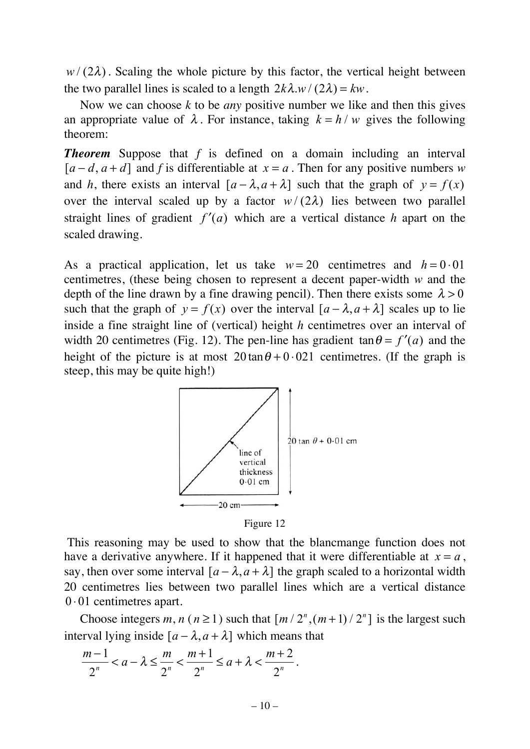$w/(2\lambda)$ . Scaling the whole picture by this factor, the vertical height between the two parallel lines is scaled to a length  $2k\lambda.w/(2\lambda) = kw$ .

Now we can choose *k* to be *any* positive number we like and then this gives an appropriate value of  $\lambda$ . For instance, taking  $k = h/w$  gives the following theorem:

**Theorem** Suppose that f is defined on a domain including an interval  $[a-d, a+d]$  and *f* is differentiable at  $x = a$ . Then for any positive numbers *w* and *h*, there exists an interval  $[a - \lambda, a + \lambda]$  such that the graph of  $y = f(x)$ over the interval scaled up by a factor  $w/(2\lambda)$  lies between two parallel straight lines of gradient  $f'(a)$  which are a vertical distance *h* apart on the scaled drawing.

As a practical application, let us take  $w = 20$  centimetres and  $h = 0.01$ centimetres, (these being chosen to represent a decent paper-width *w* and the depth of the line drawn by a fine drawing pencil). Then there exists some  $\lambda > 0$ such that the graph of  $y = f(x)$  over the interval  $[a - \lambda, a + \lambda]$  scales up to lie inside a fine straight line of (vertical) height *h* centimetres over an interval of width 20 centimetres (Fig. 12). The pen-line has gradient  $\tan \theta = f'(a)$  and the height of the picture is at most  $20 \tan \theta + 0.021$  centimetres. (If the graph is steep, this may be quite high!)



Figure 12

 This reasoning may be used to show that the blancmange function does not have a derivative anywhere. If it happened that it were differentiable at  $x = a$ , say, then over some interval  $[a - \lambda, a + \lambda]$  the graph scaled to a horizontal width 20 centimetres lies between two parallel lines which are a vertical distance 0 ⋅ 01 centimetres apart.

Choose integers  $m, n \ (n \geq 1)$  such that  $\left\lceil m/2^n, (m+1)/2^n \right\rceil$  is the largest such interval lying inside  $[a - \lambda, a + \lambda]$  which means that

$$
\frac{m-1}{2^n} < a - \lambda \le \frac{m}{2^n} < \frac{m+1}{2^n} \le a + \lambda < \frac{m+2}{2^n}.
$$